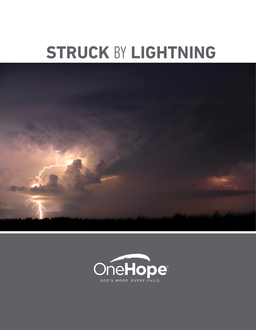# **STRUCK BY LIGHTNING**



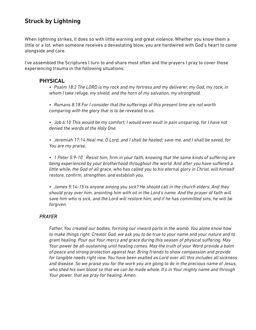## **Struck by Lightning**

When lightning strikes, it does so with little warning and great violence. Whether you know them a little or a lot, when someone receives a devastating blow, you are hardwired with God's heart to come alongside and care.

I've assembled the Scriptures I turn to and share most often and the prayers I pray to cover those experiencing trauma in the following situations:

#### **PHYSICAL**

- *• Psalm 18:2 The LORD is my rock and my fortress and my deliverer, my God, my rock, in whom I take refuge, my shield, and the horn of my salvation, my stronghold.*
- *• Romans 8:18 For I consider that the sufferings of this present time are not worth comparing with the glory that is to be revealed to us.*
- *• Job 6:10 This would be my comfort; I would even exult in pain unsparing, for I have not denied the words of the Holy One.*

*• Jeremiah 17:14 Heal me, O Lord, and I shall be healed; save me, and I shall be saved, for You are my praise.*

*• 1 Peter 5:9-10 Resist him, firm in your faith, knowing that the same kinds of suffering are being experienced by your brotherhood throughout the world. And after you have suffered a little while, the God of all grace, who has called you to his eternal glory in Christ, will himself restore, confirm, strengthen, and establish you.*

*• James 5:14-15 Is anyone among you sick? He should call in the church elders. And they should pray over him, anointing him with oil in the Lord's name. And the prayer of faith will save him who is sick, and the Lord will restore him; and if he has committed sins, he will be forgiven.*

#### *PRAYER*

*Father, You created our bodies, forming our inward parts in the womb. You alone know how to make things right. Creator God, we ask you to be true to your name and your nature and to grant healing. Pour out Your mercy and grace during this season of physical suffering. May Your power be all-sustaining until healing comes. May the truth of your Word provide a balm of peace and strong protection against fear. Bring friends to show compassion and provide for tangible needs right now. You have been exalted as Lord over all: this includes all sickness and disease. So we praise you for the work you are going to do in the precious name of Jesus, who shed his own blood so that we can be made whole. It's in Your mighty name and through Your power, that we pray for healing, Amen.*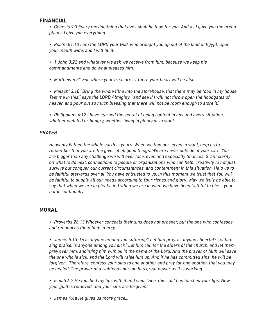#### **FINANCIAL**

*• Genesis 9:3 Every moving thing that lives shall be food for you. And as I gave you the green plants, I give you everything.*

*• Psalm 81:10 I am the LORD your God, who brought you up out of the land of Egypt. Open your mouth wide, and I will fill it.*

*• 1 John 3:22 and whatever we ask we receive from him, because we keep his commandments and do what pleases him.*

*• Matthew 6:21 For where your treasure is, there your heart will be also.*

*• Malachi 3:10 "Bring the whole tithe into the storehouse, that there may be food in my house. Test me in this," says the LORD Almighty, "and see if I will not throw open the floodgates of heaven and pour out so much blessing that there will not be room enough to store it."*

*• Philippians 4:12 I have learned the secret of being content in any and every situation, whether well fed or hungry, whether living in plenty or in want.*

#### *PRAYER*

*Heavenly Father, the whole earth is yours. When we find ourselves in want, help us to remember that you are the giver of all good things. We are never outside of your care. You are bigger than any challenge we will ever face, even and especially finances. Grant clarity on what to do next, connections to people or organizations who can help, creativity to not just survive but conquer our current circumstances, and contentment in this situation. Help us to be faithful stewards over all You have entrusted to us. In this moment we trust that You will be faithful to supply all our needs according to Your riches and glory. May we truly be able to say that when we are in plenty and when we are in want we have been faithful to bless your name continually.*

### **MORAL**

*• Proverbs 28:13 Whoever conceals their sins does not prosper, but the one who confesses and renounces them finds mercy.*

*• James 5:13-16 Is anyone among you suffering? Let him pray. Is anyone cheerful? Let him sing praise. Is anyone among you sick? Let him call for the elders of the church, and let them pray over him, anointing him with oil in the name of the Lord. And the prayer of faith will save the one who is sick, and the Lord will raise him up. And if he has committed sins, he will be forgiven. Therefore, confess your sins to one another and pray for one another, that you may be healed. The prayer of a righteous person has great power as it is working.*

*• Isaiah 6:7 He touched my lips with it and said, "See, this coal has touched your lips. Now your guilt is removed, and your sins are forgiven."* 

*• James 4:6a He gives us more grace…*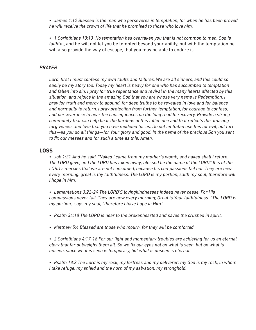*• James 1:12 Blessed is the man who perseveres in temptation, for when he has been proved he will receive the crown of life that he promised to those who love him.*

*• 1 Corinthians 10:13 No temptation has overtaken you that is not common to man. God is faith*ful, and he will not let you be tempted beyond your ability, but with the temptation he will also provide the way of escape, that you may be able to endure it.

#### *PRAYER*

*Lord, first I must confess my own faults and failures. We are all sinners, and this could so easily be my story too. Today my heart is heavy for one who has succumbed to temptation and fallen into sin. I pray for true repentance and revival in the many hearts affected by this situation, and rejoice in the amazing God that you are whose very name is Redemption. I pray for truth and mercy to abound, for deep truths to be revealed in love and for balance and normality to return. I pray protection from further temptation, for courage to confess, and perseverance to bear the consequences on the long road to recovery. Provide a strong community that can help bear the burdens of this fallen one and that reflects the amazing forgiveness and love that you have modeled for us. Do not let Satan use this for evil, but turn this—as you do all things—for Your glory and good. In the name of the precious Son you sent to fix our messes and for such a time as this, Amen.*

#### **LOSS**

*• Job 1:21 And he said, "Naked I came from my mother's womb, and naked shall I return. The LORD gave, and the LORD has taken away; blessed be the name of the LORD." It is of the LORD's mercies that we are not consumed, because his compassions fail not. They are new every morning: great is thy faithfulness. The LORD is my portion, saith my soul; therefore will I hope in him.*

*• Lamentations 3:22-24 The LORD'S lovingkindnesses indeed never cease, For His compassions never fail. They are new every morning; Great is Your faithfulness. "The LORD is my portion," says my soul, "therefore I have hope in Him."*

- *• Psalm 34:18 The LORD is near to the brokenhearted and saves the crushed in spirit.*
- *• Matthew 5:4 Blessed are those who mourn, for they will be comforted.*

*• 2 Corinthians 4:17-18 For our light and momentary troubles are achieving for us an eternal glory that far outweighs them all. So we fix our eyes not on what is seen, but on what is unseen, since what is seen is temporary, but what is unseen is eternal.*

*• Psalm 18:2 The Lord is my rock, my fortress and my deliverer; my God is my rock, in whom I take refuge, my shield and the horn of my salvation, my stronghold.*